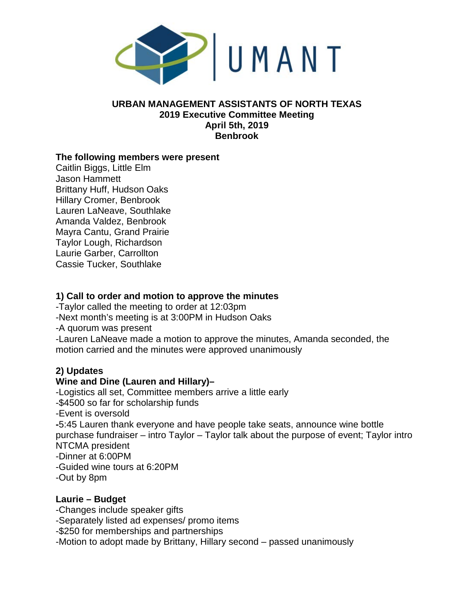

#### **URBAN MANAGEMENT ASSISTANTS OF NORTH TEXAS 2019 Executive Committee Meeting April 5th, 2019 Benbrook**

#### **The following members were present**

Caitlin Biggs, Little Elm Jason Hammett Brittany Huff, Hudson Oaks Hillary Cromer, Benbrook Lauren LaNeave, Southlake Amanda Valdez, Benbrook Mayra Cantu, Grand Prairie Taylor Lough, Richardson Laurie Garber, Carrollton Cassie Tucker, Southlake

#### **1) Call to order and motion to approve the minutes**

-Taylor called the meeting to order at 12:03pm

-Next month's meeting is at 3:00PM in Hudson Oaks

-A quorum was present

-Lauren LaNeave made a motion to approve the minutes, Amanda seconded, the motion carried and the minutes were approved unanimously

# **2) Updates**

# **Wine and Dine (Lauren and Hillary)–**

-Logistics all set, Committee members arrive a little early -\$4500 so far for scholarship funds -Event is oversold **-**5:45 Lauren thank everyone and have people take seats, announce wine bottle purchase fundraiser – intro Taylor – Taylor talk about the purpose of event; Taylor intro NTCMA president -Dinner at 6:00PM -Guided wine tours at 6:20PM -Out by 8pm

#### **Laurie – Budget**

-Changes include speaker gifts -Separately listed ad expenses/ promo items -\$250 for memberships and partnerships -Motion to adopt made by Brittany, Hillary second – passed unanimously